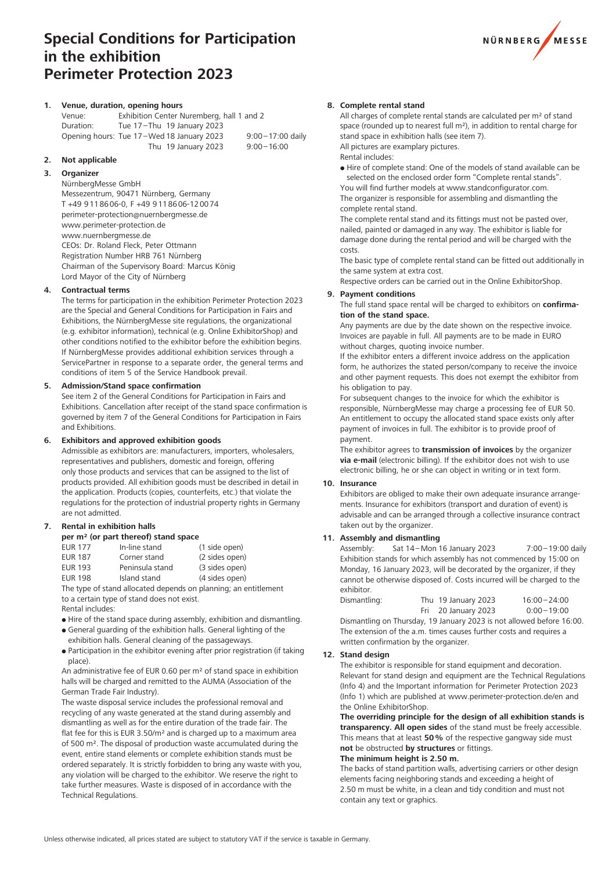# **Special Conditions for Participation in the exhibition Perimeter Protection 2023**



# **1. Venue, duration, opening hours**

Venue: Exhibition Center Nuremberg, hall 1 and 2 Duration: Tue 17–Thu 19 January 2023 Opening hours: Tue 17–Wed 18 January 2023 9:00–17:00 daily Thu 19 January 2023 9:00–16:00

**2. Not applicable**

# **3. Organizer**

NürnbergMesse GmbH

Messezentrum, 90471 Nürnberg, Germany T +49 9118606-0, F +49 9118606-120074 perimeter-protection@nuernbergmesse.de www.perimeter-protection.de www.nuernbergmesse.de CEOs: Dr. Roland Fleck, Peter Ottmann Registration Number HRB 761 Nürnberg Chairman of the Supervisory Board: Marcus König Lord Mayor of the City of Nürnberg

# **4. Contractual terms**

The terms for participation in the exhibition Perimeter Protection 2023 are the Special and General Conditions for Participation in Fairs and Exhibitions, the NürnbergMesse site regulations, the organizational (e.g. exhibitor information), technical (e.g. Online ExhibitorShop) and other conditions notified to the exhibitor before the exhibition begins. If NürnbergMesse provides additional exhibition services through a ServicePartner in response to a separate order, the general terms and conditions of item 5 of the Service Handbook prevail.

## **5. Admission/Stand space confirmation**

See item 2 of the General Conditions for Participation in Fairs and Exhibitions. Cancellation after receipt of the stand space confirmation is governed by item 7 of the General Conditions for Participation in Fairs and Exhibitions.

### **6. Exhibitors and approved exhibition goods**

Admissible as exhibitors are: manufacturers, importers, wholesalers, representatives and publishers, domestic and foreign, offering only those products and services that can be assigned to the list of products provided. All exhibition goods must be described in detail in the application. Products (copies, counterfeits, etc.) that violate the regulations for the protection of industrial property rights in Germany are not admitted.

# **7. Rental in exhibition halls**

**per m² (or part thereof) stand space**

| EUR 177        | In-line stand   | (1 side open)  |
|----------------|-----------------|----------------|
| <b>EUR 187</b> | Corner stand    | (2 sides open) |
| <b>EUR 193</b> | Peninsula stand | (3 sides open) |
| <b>EUR 198</b> | Island stand    | (4 sides open) |

The type of stand allocated depends on planning; an entitlement to a certain type of stand does not exist. Rental includes:

- Hire of the stand space during assembly, exhibition and dismantling.
- General guarding of the exhibition halls. General lighting of the exhibition halls. General cleaning of the passageways.
- Participation in the exhibitor evening after prior registration (if taking place).

An administrative fee of EUR 0.60 per m² of stand space in exhibition halls will be charged and remitted to the AUMA (Association of the German Trade Fair Industry).

The waste disposal service includes the professional removal and recycling of any waste generated at the stand during assembly and dismantling as well as for the entire duration of the trade fair. The flat fee for this is EUR 3.50/m² and is charged up to a maximum area of 500 m². The disposal of production waste accumulated during the event, entire stand elements or complete exhibition stands must be ordered separately. It is strictly forbidden to bring any waste with you, any violation will be charged to the exhibitor. We reserve the right to take further measures. Waste is disposed of in accordance with the Technical Regulations.

## **8. Complete rental stand**

All charges of complete rental stands are calculated per m<sup>2</sup> of stand space (rounded up to nearest full m²), in addition to rental charge for stand space in exhibition halls (see item 7).

All pictures are examplary pictures. Rental includes:

 Hire of complete stand: One of the models of stand available can be selected on the enclosed order form "Complete rental stands". You will find further models at www.standconfigurator.com. The organizer is responsible for assembling and dismantling the

complete rental stand.

The complete rental stand and its fittings must not be pasted over, nailed, painted or damaged in any way. The exhibitor is liable for damage done during the rental period and will be charged with the costs.

The basic type of complete rental stand can be fitted out additionally in the same system at extra cost.

Respective orders can be carried out in the Online ExhibitorShop.

#### **9. Payment conditions**

The full stand space rental will be charged to exhibitors on **confirmation of the stand space.** 

Any payments are due by the date shown on the respective invoice. Invoices are payable in full. All payments are to be made in EURO without charges, quoting invoice number.

If the exhibitor enters a different invoice address on the application form, he authorizes the stated person/company to receive the invoice and other payment requests. This does not exempt the exhibitor from his obligation to pay.

For subsequent changes to the invoice for which the exhibitor is responsible, NürnbergMesse may charge a processing fee of EUR 50. An entitlement to occupy the allocated stand space exists only after payment of invoices in full. The exhibitor is to provide proof of payment.

The exhibitor agrees to **transmission of invoices** by the organizer **via e-mail** (electronic billing). If the exhibitor does not wish to use electronic billing, he or she can object in writing or in text form.

#### **10. Insurance**

Exhibitors are obliged to make their own adequate insurance arrangements. Insurance for exhibitors (transport and duration of event) is advisable and can be arranged through a collective insurance contract taken out by the organizer.

### **11. Assembly and dismantling**

Assembly: Sat 14– Mon 16 January 2023 7:00–19:00 daily Exhibition stands for which assembly has not commenced by 15:00 on Monday, 16 January 2023, will be decorated by the organizer, if they cannot be otherwise disposed of. Costs incurred will be charged to the exhibitor.

| Dismantling:                                                        | Thu 19 January 2023 | $16:00 - 24:00$ |
|---------------------------------------------------------------------|---------------------|-----------------|
|                                                                     | Fri 20 January 2023 | $0:00 - 19:00$  |
| Dismantling on Thursday, 10 Ianuary 2022 is not allowed before 16:0 |                     |                 |

Dismantling on Thursday, 19 January 2023 is not allowed before 16:00. The extension of the a.m. times causes further costs and requires a written confirmation by the organizer.

#### **12. Stand design**

The exhibitor is responsible for stand equipment and decoration. Relevant for stand design and equipment are the Technical Regulations (Info 4) and the Important information for Perimeter Protection 2023 (Info 1) which are published at www.perimeter-protection.de/en and the Online ExhibitorShop.

**The overriding principle for the design of all exhibition stands is transparency. All open sides** of the stand must be freely accessible. This means that at least **50%** of the respective gangway side must **not** be obstructed **by structures** or fittings.

#### **The minimum height is 2.50 m.**

The backs of stand partition walls, advertising carriers or other design elements facing neighboring stands and exceeding a height of 2.50 m must be white, in a clean and tidy condition and must not contain any text or graphics.